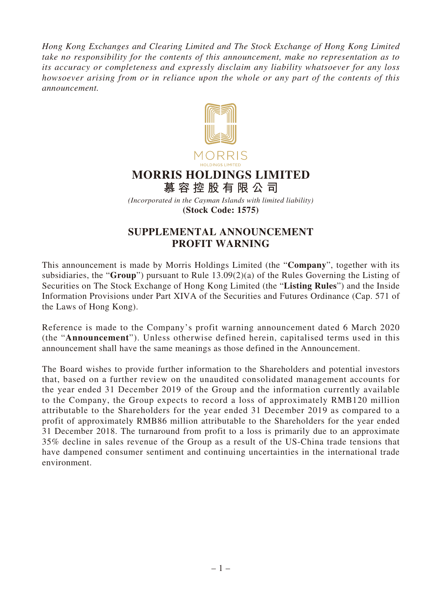*Hong Kong Exchanges and Clearing Limited and The Stock Exchange of Hong Kong Limited take no responsibility for the contents of this announcement, make no representation as to its accuracy or completeness and expressly disclaim any liability whatsoever for any loss howsoever arising from or in reliance upon the whole or any part of the contents of this announcement.*



**(Stock Code: 1575)**

## **SUPPLEMENTAL ANNOUNCEMENT PROFIT WARNING**

This announcement is made by Morris Holdings Limited (the "**Company**", together with its subsidiaries, the "**Group**") pursuant to Rule 13.09(2)(a) of the Rules Governing the Listing of Securities on The Stock Exchange of Hong Kong Limited (the "**Listing Rules**") and the Inside Information Provisions under Part XIVA of the Securities and Futures Ordinance (Cap. 571 of the Laws of Hong Kong).

Reference is made to the Company's profit warning announcement dated 6 March 2020 (the "**Announcement**"). Unless otherwise defined herein, capitalised terms used in this announcement shall have the same meanings as those defined in the Announcement.

The Board wishes to provide further information to the Shareholders and potential investors that, based on a further review on the unaudited consolidated management accounts for the year ended 31 December 2019 of the Group and the information currently available to the Company, the Group expects to record a loss of approximately RMB120 million attributable to the Shareholders for the year ended 31 December 2019 as compared to a profit of approximately RMB86 million attributable to the Shareholders for the year ended 31 December 2018. The turnaround from profit to a loss is primarily due to an approximate 35% decline in sales revenue of the Group as a result of the US-China trade tensions that have dampened consumer sentiment and continuing uncertainties in the international trade environment.